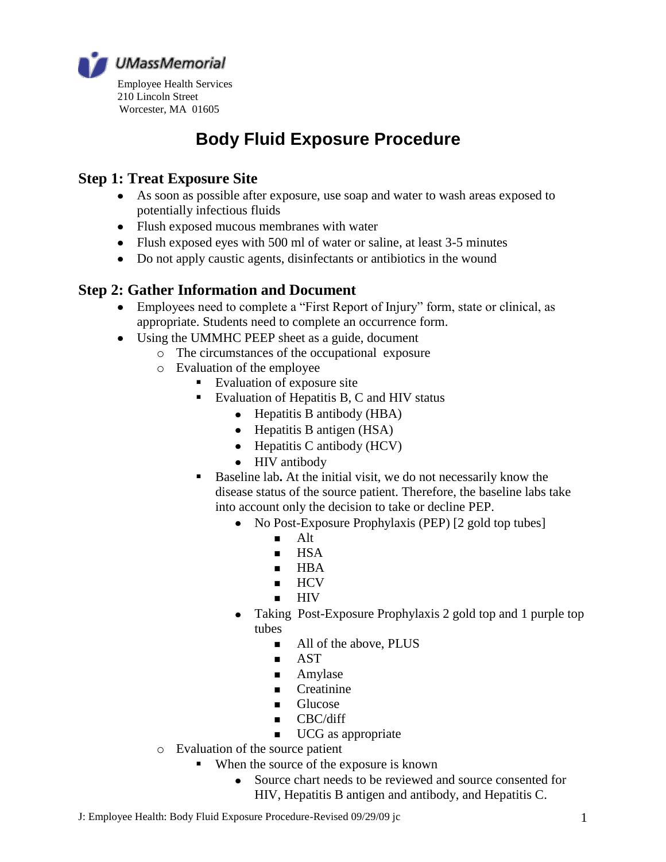

# **Body Fluid Exposure Procedure**

### **Step 1: Treat Exposure Site**

- As soon as possible after exposure, use soap and water to wash areas exposed to potentially infectious fluids
- Flush exposed mucous membranes with water
- Flush exposed eyes with 500 ml of water or saline, at least 3-5 minutes
- Do not apply caustic agents, disinfectants or antibiotics in the wound

### **Step 2: Gather Information and Document**

- Employees need to complete a "First Report of Injury" form, state or clinical, as appropriate. Students need to complete an occurrence form.
- Using the UMMHC PEEP sheet as a guide, document
	- o The circumstances of the occupational exposure
	- o Evaluation of the employee
		- Evaluation of exposure site
		- Evaluation of Hepatitis B, C and HIV status
			- Hepatitis B antibody (HBA)
			- Hepatitis B antigen (HSA)
			- $\bullet$  Hepatitis C antibody (HCV)
			- HIV antibody  $\bullet$
		- Baseline lab**.** At the initial visit, we do not necessarily know the disease status of the source patient. Therefore, the baseline labs take into account only the decision to take or decline PEP.
			- $\bullet$ No Post-Exposure Prophylaxis (PEP) [2 gold top tubes]
				- $A$ lt
				- $HSA$
				- $HBA$
				- $HCV$
				- **HIV**
			- Taking Post-Exposure Prophylaxis 2 gold top and 1 purple top  $\bullet$ tubes
				- All of the above, PLUS
				- **AST**
				- **Amylase**
				- Creatinine
				- **Glucose**
				- $\blacksquare$  CBC/diff
				- **UCG** as appropriate
	- o Evaluation of the source patient
		- When the source of the exposure is known
			- Source chart needs to be reviewed and source consented for  $\bullet$ HIV, Hepatitis B antigen and antibody, and Hepatitis C.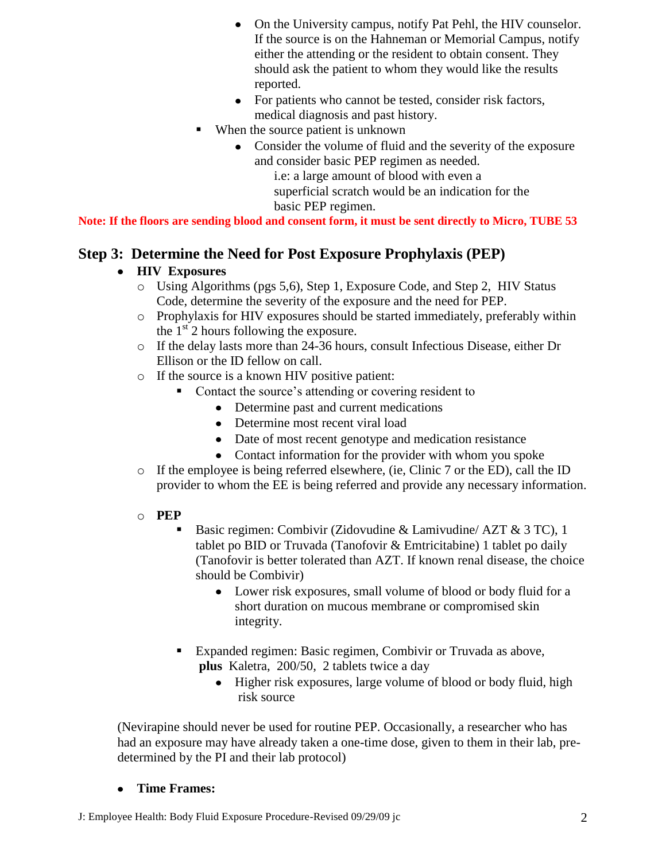- On the University campus, notify Pat Pehl, the HIV counselor.  $\bullet$ If the source is on the Hahneman or Memorial Campus, notify either the attending or the resident to obtain consent. They should ask the patient to whom they would like the results reported.
- For patients who cannot be tested, consider risk factors,  $\bullet$ medical diagnosis and past history.
- When the source patient is unknown
	- Consider the volume of fluid and the severity of the exposure and consider basic PEP regimen as needed.

i.e: a large amount of blood with even a superficial scratch would be an indication for the basic PEP regimen.

**Note: If the floors are sending blood and consent form, it must be sent directly to Micro, TUBE 53**

### **Step 3: Determine the Need for Post Exposure Prophylaxis (PEP)**

### **HIV Exposures**

- o Using Algorithms (pgs 5,6), Step 1, Exposure Code, and Step 2, HIV Status Code, determine the severity of the exposure and the need for PEP.
- o Prophylaxis for HIV exposures should be started immediately, preferably within the  $1<sup>st</sup>$  2 hours following the exposure.
- o If the delay lasts more than 24-36 hours, consult Infectious Disease, either Dr Ellison or the ID fellow on call.
- o If the source is a known HIV positive patient:
	- Contact the source's attending or covering resident to
		- Determine past and current medications
		- Determine most recent viral load
		- Date of most recent genotype and medication resistance
		- Contact information for the provider with whom you spoke
- o If the employee is being referred elsewhere, (ie, Clinic 7 or the ED), call the ID provider to whom the EE is being referred and provide any necessary information.

#### o **PEP**

- Basic regimen: Combivir (Zidovudine & Lamivudine/ AZT & 3 TC), 1 tablet po BID or Truvada (Tanofovir & Emtricitabine) 1 tablet po daily (Tanofovir is better tolerated than AZT. If known renal disease, the choice should be Combivir)
	- Lower risk exposures, small volume of blood or body fluid for a short duration on mucous membrane or compromised skin integrity.
- Expanded regimen: Basic regimen, Combivir or Truvada as above, **plus** Kaletra, 200/50, 2 tablets twice a day
	- Higher risk exposures, large volume of blood or body fluid, high risk source

(Nevirapine should never be used for routine PEP. Occasionally, a researcher who has had an exposure may have already taken a one-time dose, given to them in their lab, predetermined by the PI and their lab protocol)

#### **Time Frames:**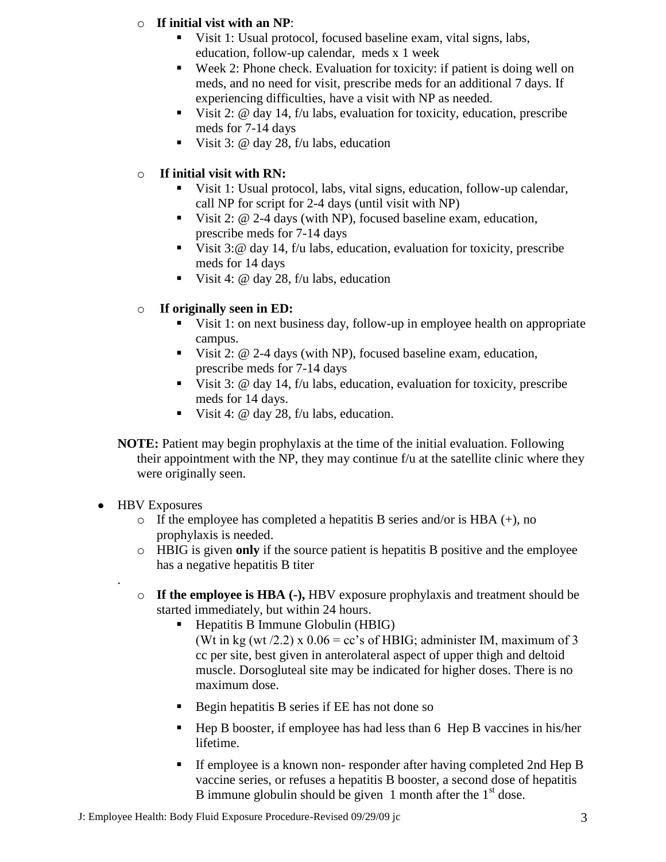#### o **If initial vist with an NP**:

- Visit 1: Usual protocol, focused baseline exam, vital signs, labs, education, follow-up calendar, meds x 1 week
- Week 2: Phone check. Evaluation for toxicity: if patient is doing well on meds, and no need for visit, prescribe meds for an additional 7 days. If experiencing difficulties, have a visit with NP as needed.
- Visit 2: @ day 14, f/u labs, evaluation for toxicity, education, prescribe meds for 7-14 days
- Visit 3:  $\omega$  day 28, f/u labs, education

### o **If initial visit with RN:**

- Visit 1: Usual protocol, labs, vital signs, education, follow-up calendar, call NP for script for 2-4 days (until visit with NP)
- Visit 2: @ 2-4 days (with NP), focused baseline exam, education, prescribe meds for 7-14 days
- Visit 3:  $\textcircled{a}$  day 14, f/u labs, education, evaluation for toxicity, prescribe meds for 14 days
- Visit 4:  $\omega$  day 28, f/u labs, education

### o **If originally seen in ED:**

- Visit 1: on next business day, follow-up in employee health on appropriate campus.
- Visit 2: @ 2-4 days (with NP), focused baseline exam, education, prescribe meds for 7-14 days
- Visit 3:  $\omega$  day 14, f/u labs, education, evaluation for toxicity, prescribe meds for 14 days.
- Visit 4:  $\omega$  day 28, f/u labs, education.
- **NOTE:** Patient may begin prophylaxis at the time of the initial evaluation. Following their appointment with the NP, they may continue f/u at the satellite clinic where they were originally seen.
- HBV Exposures

.

- $\circ$  If the employee has completed a hepatitis B series and/or is HBA (+), no prophylaxis is needed.
- o HBIG is given **only** if the source patient is hepatitis B positive and the employee has a negative hepatitis B titer
- o **If the employee is HBA (-),** HBV exposure prophylaxis and treatment should be started immediately, but within 24 hours.
	- $\blacksquare$  Hepatitis B Immune Globulin (HBIG) (Wt in kg (wt /2.2) x  $0.06 = cc$ 's of HBIG; administer IM, maximum of 3 cc per site, best given in anterolateral aspect of upper thigh and deltoid muscle. Dorsogluteal site may be indicated for higher doses. There is no maximum dose.
	- Begin hepatitis B series if EE has not done so
	- $\blacksquare$  Hep B booster, if employee has had less than 6 Hep B vaccines in his/her lifetime.
	- If employee is a known non- responder after having completed 2nd Hep B vaccine series, or refuses a hepatitis B booster, a second dose of hepatitis B immune globulin should be given 1 month after the  $1<sup>st</sup>$  dose.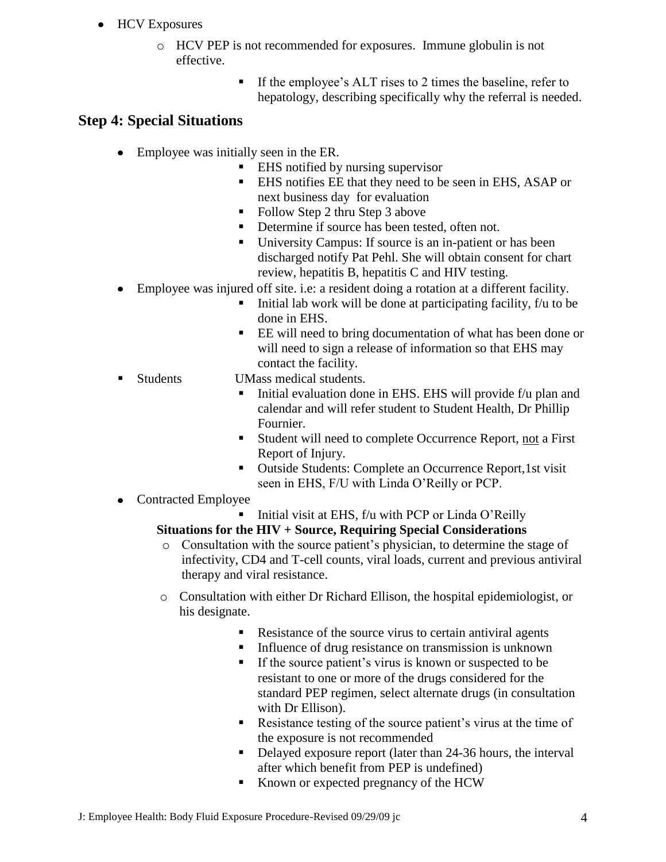- HCV Exposures
	- o HCV PEP is not recommended for exposures. Immune globulin is not effective.
		- If the employee's ALT rises to 2 times the baseline, refer to hepatology, describing specifically why the referral is needed.

### **Step 4: Special Situations**

- Employee was initially seen in the ER.
	- EHS notified by nursing supervisor
	- EHS notifies EE that they need to be seen in EHS, ASAP or next business day for evaluation
	- Follow Step 2 thru Step 3 above
	- Determine if source has been tested, often not.
	- University Campus: If source is an in-patient or has been discharged notify Pat Pehl. She will obtain consent for chart review, hepatitis B, hepatitis C and HIV testing.
- Employee was injured off site. i.e: a resident doing a rotation at a different facility.
	- Initial lab work will be done at participating facility, f/u to be done in EHS.
	- EE will need to bring documentation of what has been done or will need to sign a release of information so that EHS may contact the facility.
- 
- Students UMass medical students.
	- Initial evaluation done in EHS. EHS will provide f/u plan and calendar and will refer student to Student Health, Dr Phillip Fournier.
	- Student will need to complete Occurrence Report, not a First Report of Injury.
	- Outside Students: Complete an Occurrence Report, 1st visit seen in EHS, F/U with Linda O'Reilly or PCP.
- Contracted Employee

Initial visit at EHS,  $f/u$  with PCP or Linda O'Reilly **Situations for the HIV + Source, Requiring Special Considerations**

- o Consultation with the source patient's physician, to determine the stage of infectivity, CD4 and T-cell counts, viral loads, current and previous antiviral therapy and viral resistance.
- o Consultation with either Dr Richard Ellison, the hospital epidemiologist, or his designate.
	- Resistance of the source virus to certain antiviral agents
	- Influence of drug resistance on transmission is unknown
	- If the source patient's virus is known or suspected to be resistant to one or more of the drugs considered for the standard PEP regimen, select alternate drugs (in consultation with Dr Ellison).
	- Resistance testing of the source patient's virus at the time of the exposure is not recommended
	- Delayed exposure report (later than 24-36 hours, the interval after which benefit from PEP is undefined)
	- Known or expected pregnancy of the HCW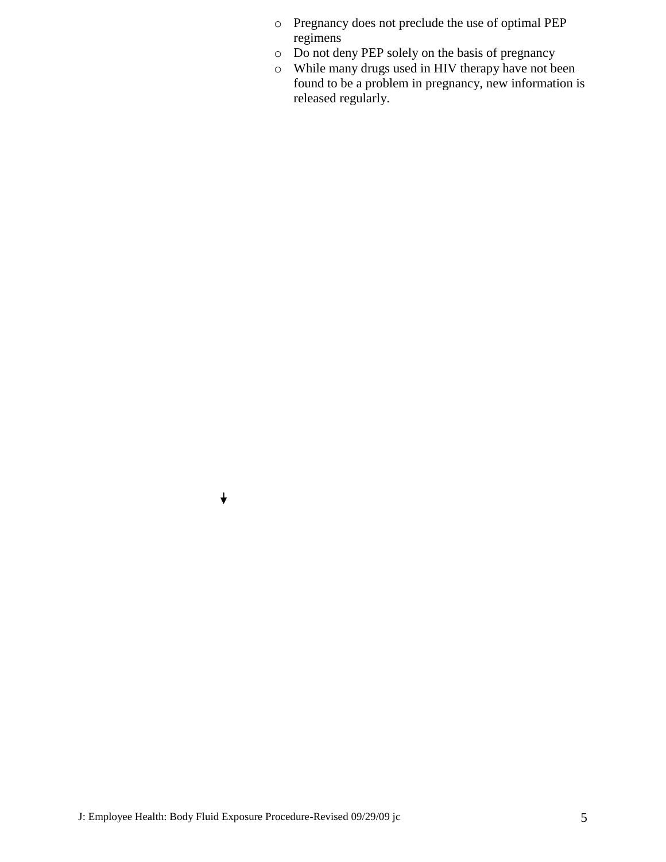- o Pregnancy does not preclude the use of optimal PEP regimens
- o Do not deny PEP solely on the basis of pregnancy
- o While many drugs used in HIV therapy have not been found to be a problem in pregnancy, new information is released regularly.

 $\downarrow$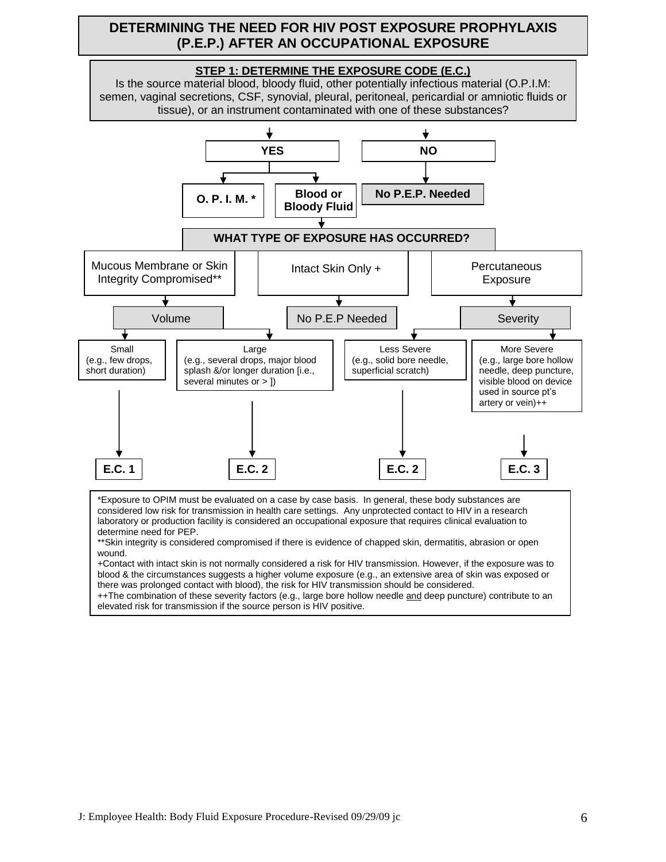#### **DETERMINING THE NEED FOR HIV POST EXPOSURE PROPHYLAXIS (P.E.P.) AFTER AN OCCUPATIONAL EXPOSURE**



\*Exposure to OPIM must be evaluated on a case by case basis. In general, these body substances are considered low risk for transmission in health care settings. Any unprotected contact to HIV in a research laboratory or production facility is considered an occupational exposure that requires clinical evaluation to determine need for PEP.

+Contact with intact skin is not normally considered a risk for HIV transmission. However, if the exposure was to blood & the circumstances suggests a higher volume exposure (e.g., an extensive area of skin was exposed or there was prolonged contact with blood), the risk for HIV transmission should be considered.

++The combination of these severity factors (e.g., large bore hollow needle and deep puncture) contribute to an elevated risk for transmission if the source person is HIV positive.

<sup>\*\*</sup>Skin integrity is considered compromised if there is evidence of chapped skin, dermatitis, abrasion or open wound.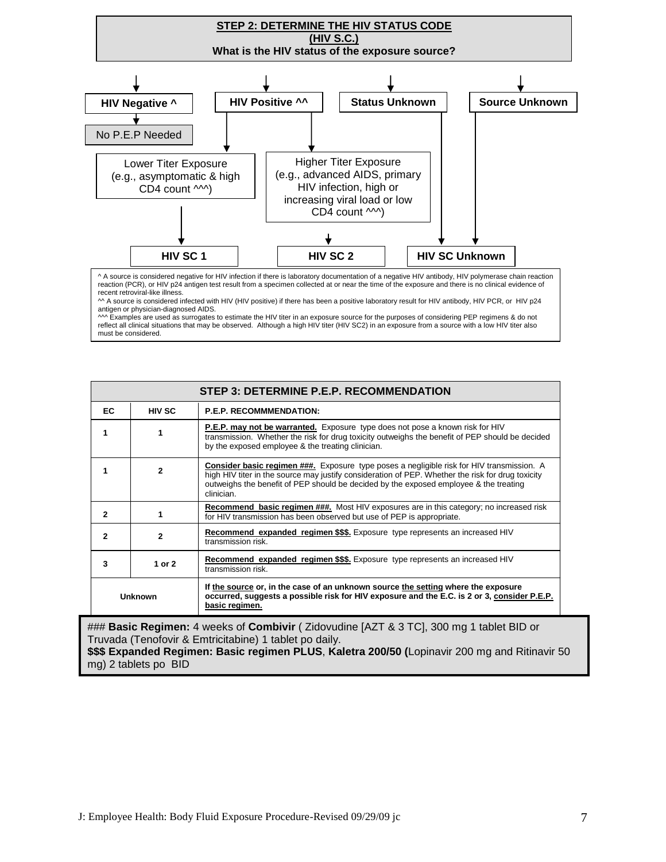

|                | STEP 3: DETERMINE P.E.P. RECOMMENDATION |                                                                                                                                                                                                                                                                                                       |  |  |  |
|----------------|-----------------------------------------|-------------------------------------------------------------------------------------------------------------------------------------------------------------------------------------------------------------------------------------------------------------------------------------------------------|--|--|--|
| EC.            | <b>HIV SC</b>                           | <b>P.E.P. RECOMMMENDATION:</b>                                                                                                                                                                                                                                                                        |  |  |  |
|                |                                         | <b>P.E.P. may not be warranted.</b> Exposure type does not pose a known risk for HIV<br>transmission. Whether the risk for drug toxicity outweighs the benefit of PEP should be decided<br>by the exposed employee & the treating clinician.                                                          |  |  |  |
|                | $\mathbf{v}$                            | Consider basic regimen ###. Exposure type poses a negligible risk for HIV transmission. A<br>high HIV titer in the source may justify consideration of PEP. Whether the risk for drug toxicity<br>outweighs the benefit of PEP should be decided by the exposed employee & the treating<br>clinician. |  |  |  |
| $\overline{2}$ |                                         | <b>Recommend basic regimen ###.</b> Most HIV exposures are in this category; no increased risk<br>for HIV transmission has been observed but use of PEP is appropriate.                                                                                                                               |  |  |  |
| 2              | $\mathbf{2}$                            | Recommend expanded regimen \$\$\$. Exposure type represents an increased HIV<br>transmission risk.                                                                                                                                                                                                    |  |  |  |
| 3              | 1 or 2                                  | Recommend expanded regimen \$\$\$. Exposure type represents an increased HIV<br>transmission risk.                                                                                                                                                                                                    |  |  |  |
| <b>Unknown</b> |                                         | If the source or, in the case of an unknown source the setting where the exposure<br>occurred, suggests a possible risk for HIV exposure and the E.C. is 2 or 3, consider P.E.P.<br>basic regimen.                                                                                                    |  |  |  |
|                |                                         | "HHH <b>Peain Peaiman:</b> 4 weeks of Cambivir ( Zidevuding [AZT 8.3 TC], 200 mg 1 toblet PID or                                                                                                                                                                                                      |  |  |  |

### **Basic Regimen:** 4 weeks of **Combivir** ( Zidovudine [AZT & 3 TC], 300 mg 1 tablet BID or Truvada (Tenofovir & Emtricitabine) 1 tablet po daily. **\$\$\$ Expanded Regimen: Basic regimen PLUS**, **Kaletra 200/50 (**Lopinavir 200 mg and Ritinavir 50 mg) 2 tablets po BID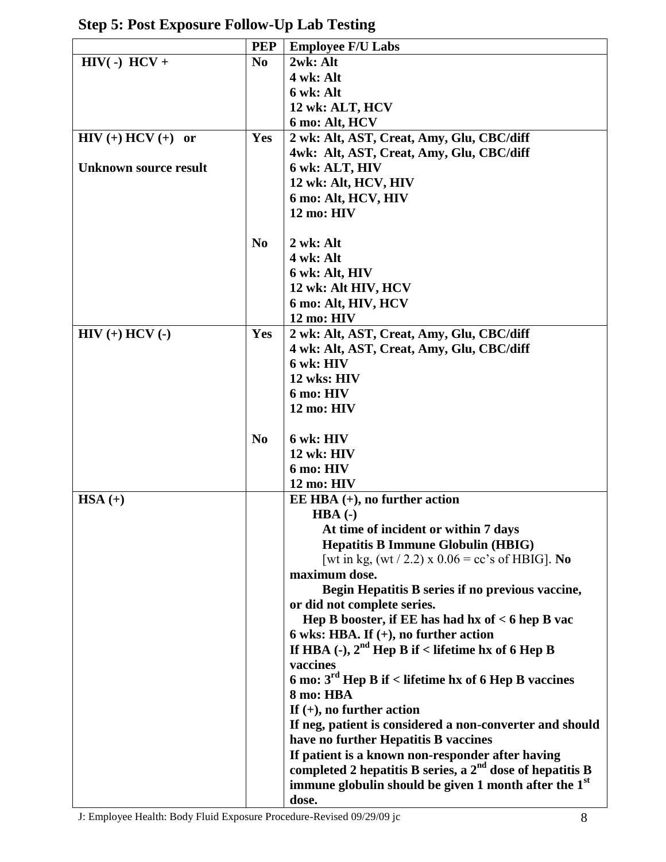|                              | <b>PEP</b>     | <b>Employee F/U Labs</b>                                          |
|------------------------------|----------------|-------------------------------------------------------------------|
| $HIV( -) HCV +$              | N <sub>0</sub> | 2wk: Alt                                                          |
|                              |                | 4 wk: Alt                                                         |
|                              |                | 6 wk: Alt                                                         |
|                              |                | 12 wk: ALT, HCV                                                   |
|                              |                | 6 mo: Alt, HCV                                                    |
| $HIV (+) HCV (+)$ or         | Yes            | 2 wk: Alt, AST, Creat, Amy, Glu, CBC/diff                         |
|                              |                | 4wk: Alt, AST, Creat, Amy, Glu, CBC/diff                          |
| <b>Unknown source result</b> |                | 6 wk: ALT, HIV                                                    |
|                              |                | 12 wk: Alt, HCV, HIV                                              |
|                              |                | 6 mo: Alt, HCV, HIV                                               |
|                              |                | 12 mo: HIV                                                        |
|                              |                |                                                                   |
|                              | N <sub>0</sub> | 2 wk: Alt                                                         |
|                              |                | 4 wk: Alt                                                         |
|                              |                | 6 wk: Alt, HIV                                                    |
|                              |                | 12 wk: Alt HIV, HCV                                               |
|                              |                | 6 mo: Alt, HIV, HCV                                               |
|                              |                | 12 mo: HIV                                                        |
| $HIV (+) HCV (-)$            | Yes            | 2 wk: Alt, AST, Creat, Amy, Glu, CBC/diff                         |
|                              |                | 4 wk: Alt, AST, Creat, Amy, Glu, CBC/diff                         |
|                              |                | 6 wk: HIV                                                         |
|                              |                | 12 wks: HIV                                                       |
|                              |                | 6 mo: HIV                                                         |
|                              |                | 12 mo: HIV                                                        |
|                              |                |                                                                   |
|                              | N <sub>0</sub> | 6 wk: HIV                                                         |
|                              |                | $12$ wk: $HIV$                                                    |
|                              |                | 6 mo: HIV                                                         |
|                              |                | 12 mo: HIV                                                        |
| $HSA (+)$                    |                | EE HBA $(+)$ , no further action                                  |
|                              |                | $HBA$ (-)                                                         |
|                              |                | At time of incident or within 7 days                              |
|                              |                | <b>Hepatitis B Immune Globulin (HBIG)</b>                         |
|                              |                | [wt in kg, $(wt / 2.2)$ x $0.06 = cc$ 's of HBIG]. No             |
|                              |                | maximum dose.                                                     |
|                              |                | Begin Hepatitis B series if no previous vaccine,                  |
|                              |                | or did not complete series.                                       |
|                              |                | Hep B booster, if EE has had hx of < 6 hep B vac                  |
|                              |                | 6 wks: HBA. If $(+)$ , no further action                          |
|                              |                | If HBA (-), $2nd$ Hep B if < lifetime hx of 6 Hep B               |
|                              |                | vaccines                                                          |
|                              |                | 6 mo: $3rd$ Hep B if < lifetime hx of 6 Hep B vaccines            |
|                              |                | 8 mo: HBA                                                         |
|                              |                | If $(+)$ , no further action                                      |
|                              |                | If neg, patient is considered a non-converter and should          |
|                              |                | have no further Hepatitis B vaccines                              |
|                              |                | If patient is a known non-responder after having                  |
|                              |                | completed 2 hepatitis B series, a $2^{nd}$ dose of hepatitis B    |
|                              |                | immune globulin should be given 1 month after the 1 <sup>st</sup> |
|                              |                | dose.                                                             |

**Step 5: Post Exposure Follow-Up Lab Testing**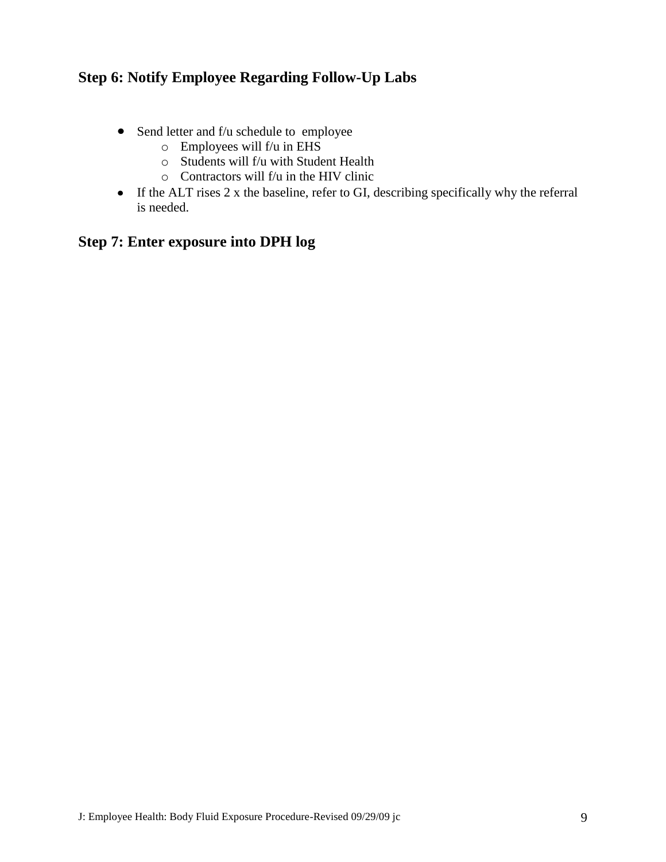### **Step 6: Notify Employee Regarding Follow-Up Labs**

- Send letter and f/u schedule to employee
	- $\circ$  Employees will f/u in EHS
	- o Students will f/u with Student Health
	- $\circ$  Contractors will f/u in the HIV clinic
- If the ALT rises 2 x the baseline, refer to GI, describing specifically why the referral is needed.

### **Step 7: Enter exposure into DPH log**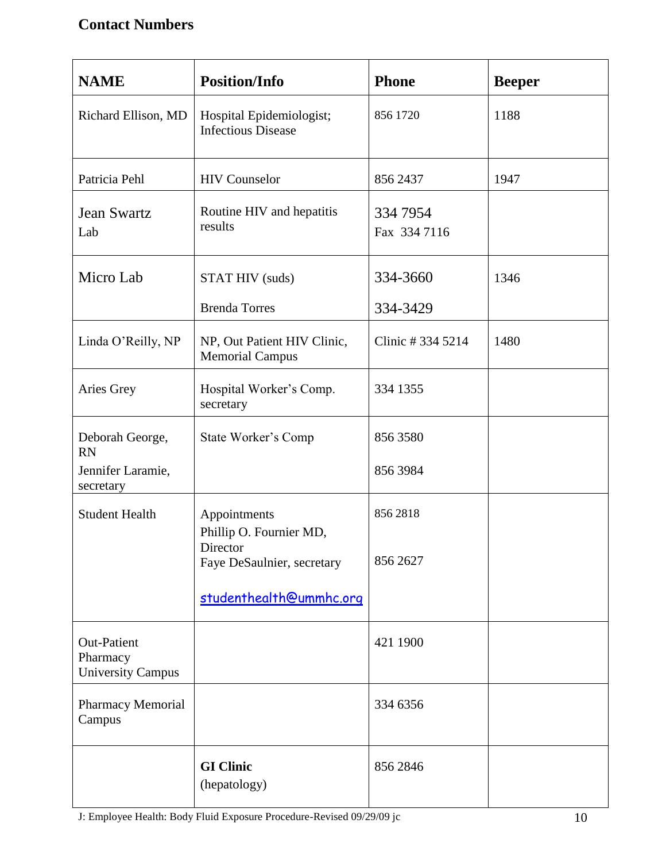## **Contact Numbers**

| <b>NAME</b>                                                | <b>Position/Info</b>                                  | <b>Phone</b>             | <b>Beeper</b> |
|------------------------------------------------------------|-------------------------------------------------------|--------------------------|---------------|
| Richard Ellison, MD                                        | Hospital Epidemiologist;<br><b>Infectious Disease</b> | 856 1720                 | 1188          |
| Patricia Pehl                                              | <b>HIV</b> Counselor                                  | 856 2437                 | 1947          |
| <b>Jean Swartz</b><br>Lab                                  | Routine HIV and hepatitis<br>results                  | 334 7954<br>Fax 334 7116 |               |
| Micro Lab                                                  | STAT HIV (suds)                                       | 334-3660                 | 1346          |
|                                                            | <b>Brenda Torres</b>                                  | 334-3429                 |               |
| Linda O'Reilly, NP                                         | NP, Out Patient HIV Clinic,<br><b>Memorial Campus</b> | Clinic #334 5214         | 1480          |
| Aries Grey                                                 | Hospital Worker's Comp.<br>secretary                  | 334 1355                 |               |
| Deborah George,<br><b>RN</b>                               | <b>State Worker's Comp</b>                            | 856 3580                 |               |
| Jennifer Laramie,<br>secretary                             |                                                       | 856 3984                 |               |
| <b>Student Health</b>                                      | Appointments<br>Phillip O. Fournier MD,               | 8562818                  |               |
|                                                            | Director<br>Faye DeSaulnier, secretary                | 856 2627                 |               |
|                                                            | studenthealth@ummhc.org                               |                          |               |
| <b>Out-Patient</b><br>Pharmacy<br><b>University Campus</b> |                                                       | 421 1900                 |               |
| Pharmacy Memorial<br>Campus                                |                                                       | 334 6356                 |               |
|                                                            | <b>GI Clinic</b><br>(hepatology)                      | 856 2846                 |               |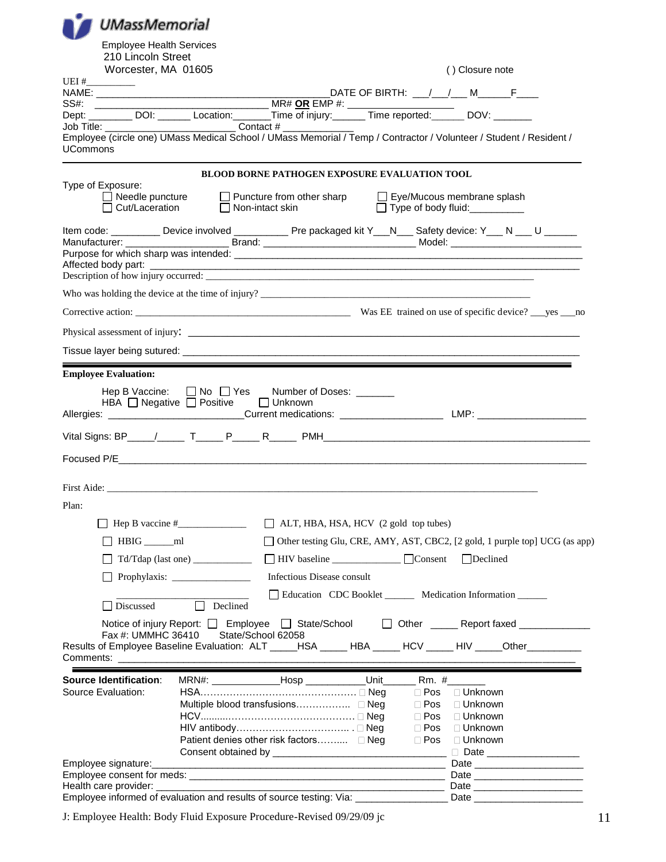| <b>UMassMemorial</b>                                                                                                                                                                                                           |                                                                                             |                                                                                                                       |                             |                                                                             |  |
|--------------------------------------------------------------------------------------------------------------------------------------------------------------------------------------------------------------------------------|---------------------------------------------------------------------------------------------|-----------------------------------------------------------------------------------------------------------------------|-----------------------------|-----------------------------------------------------------------------------|--|
| <b>Employee Health Services</b>                                                                                                                                                                                                |                                                                                             |                                                                                                                       |                             |                                                                             |  |
| 210 Lincoln Street                                                                                                                                                                                                             |                                                                                             |                                                                                                                       |                             |                                                                             |  |
| Worcester, MA 01605<br>UEI #                                                                                                                                                                                                   |                                                                                             |                                                                                                                       |                             | () Closure note                                                             |  |
| SS#: _________                                                                                                                                                                                                                 |                                                                                             |                                                                                                                       |                             | DATE OF BIRTH: __/__/___M_______F____                                       |  |
|                                                                                                                                                                                                                                |                                                                                             |                                                                                                                       |                             |                                                                             |  |
| Employee (circle one) UMass Medical School / UMass Memorial / Temp / Contractor / Volunteer / Student / Resident /                                                                                                             |                                                                                             |                                                                                                                       |                             |                                                                             |  |
| <b>UCommons</b>                                                                                                                                                                                                                |                                                                                             |                                                                                                                       |                             |                                                                             |  |
|                                                                                                                                                                                                                                |                                                                                             | <b>BLOOD BORNE PATHOGEN EXPOSURE EVALUATION TOOL</b>                                                                  |                             |                                                                             |  |
| Type of Exposure:                                                                                                                                                                                                              | □ Needle puncture □ Puncture from other sharp □ Eye/Mucous membrane splash                  |                                                                                                                       |                             |                                                                             |  |
|                                                                                                                                                                                                                                | Cut/Laceration □ Non-intact skin                                                            |                                                                                                                       |                             | Type of body fluid:                                                         |  |
| Item code: __________ Device involved ____________ Pre packaged kit Y__N___ Safety device: Y___ N ___ U ______                                                                                                                 |                                                                                             |                                                                                                                       |                             |                                                                             |  |
|                                                                                                                                                                                                                                |                                                                                             |                                                                                                                       |                             |                                                                             |  |
|                                                                                                                                                                                                                                |                                                                                             |                                                                                                                       |                             |                                                                             |  |
|                                                                                                                                                                                                                                |                                                                                             |                                                                                                                       |                             |                                                                             |  |
|                                                                                                                                                                                                                                |                                                                                             |                                                                                                                       |                             |                                                                             |  |
|                                                                                                                                                                                                                                |                                                                                             |                                                                                                                       |                             |                                                                             |  |
|                                                                                                                                                                                                                                |                                                                                             |                                                                                                                       |                             |                                                                             |  |
| <b>Employee Evaluation:</b>                                                                                                                                                                                                    |                                                                                             |                                                                                                                       |                             |                                                                             |  |
|                                                                                                                                                                                                                                | Hep B Vaccine: □ No □ Yes Number of Doses: ______                                           |                                                                                                                       |                             |                                                                             |  |
|                                                                                                                                                                                                                                | HBA O Negative O Positive D Unknown                                                         |                                                                                                                       |                             |                                                                             |  |
|                                                                                                                                                                                                                                |                                                                                             |                                                                                                                       |                             |                                                                             |  |
|                                                                                                                                                                                                                                |                                                                                             |                                                                                                                       |                             |                                                                             |  |
|                                                                                                                                                                                                                                |                                                                                             |                                                                                                                       |                             |                                                                             |  |
|                                                                                                                                                                                                                                |                                                                                             |                                                                                                                       |                             |                                                                             |  |
| Plan:                                                                                                                                                                                                                          |                                                                                             |                                                                                                                       |                             |                                                                             |  |
|                                                                                                                                                                                                                                |                                                                                             | $\Box$ ALT, HBA, HSA, HCV (2 gold top tubes)                                                                          |                             |                                                                             |  |
| $HBIG$ <sub>____</sub> ml                                                                                                                                                                                                      |                                                                                             |                                                                                                                       |                             | Other testing Glu, CRE, AMY, AST, CBC2, [2 gold, 1 purple top] UCG (as app) |  |
|                                                                                                                                                                                                                                |                                                                                             | HIV baseline Consent                                                                                                  |                             | $\Box$ Declined                                                             |  |
|                                                                                                                                                                                                                                |                                                                                             | Infectious Disease consult                                                                                            |                             |                                                                             |  |
| Discussed                                                                                                                                                                                                                      | П<br>Declined                                                                               |                                                                                                                       |                             | Education CDC Booklet ________ Medication Information ______                |  |
|                                                                                                                                                                                                                                | Notice of injury Report: □ Employee □ State/School □ Other ______ Report faxed ____________ |                                                                                                                       |                             |                                                                             |  |
| Fax #: UMMHC 36410<br>Results of Employee Baseline Evaluation: ALT _____HSA _____ HBA _____ HCV _____ HIV ____Other _________                                                                                                  |                                                                                             | State/School 62058                                                                                                    |                             |                                                                             |  |
| Comments: ____________________                                                                                                                                                                                                 |                                                                                             | <u> 1989 - Johann Harry Harry Harry Harry Harry Harry Harry Harry Harry Harry Harry Harry Harry Harry Harry Harry</u> |                             |                                                                             |  |
| <b>Source Identification:</b>                                                                                                                                                                                                  |                                                                                             | MRN#: ________________Hosp ______________Unit________                                                                 |                             | Rm. #________                                                               |  |
| Source Evaluation:                                                                                                                                                                                                             |                                                                                             |                                                                                                                       | $\Box$ Pos                  | □ Unknown                                                                   |  |
|                                                                                                                                                                                                                                |                                                                                             |                                                                                                                       | $\square$ Pos<br>$\Box$ Pos | $\Box$ Unknown<br>□ Unknown                                                 |  |
|                                                                                                                                                                                                                                |                                                                                             |                                                                                                                       | $\square$ Pos               | □ Unknown                                                                   |  |
|                                                                                                                                                                                                                                |                                                                                             | Patient denies other risk factors □ Neg                                                                               | $\Box$ Pos                  | □ Unknown                                                                   |  |
|                                                                                                                                                                                                                                |                                                                                             |                                                                                                                       |                             | □ Date _____________________                                                |  |
| Employee signature: example and a strategies of the strategies of the strategies of the strategies of the strategies of the strategies of the strategies of the strategies of the strategies of the strategies of the strategi |                                                                                             |                                                                                                                       |                             |                                                                             |  |
| Health care provider:                                                                                                                                                                                                          |                                                                                             |                                                                                                                       |                             | Date ________________________<br>Date _________________________             |  |
| Employee informed of evaluation and results of source testing: Via: _____________                                                                                                                                              |                                                                                             |                                                                                                                       |                             |                                                                             |  |

J: Employee Health: Body Fluid Exposure Procedure-Revised 09/29/09 jc 11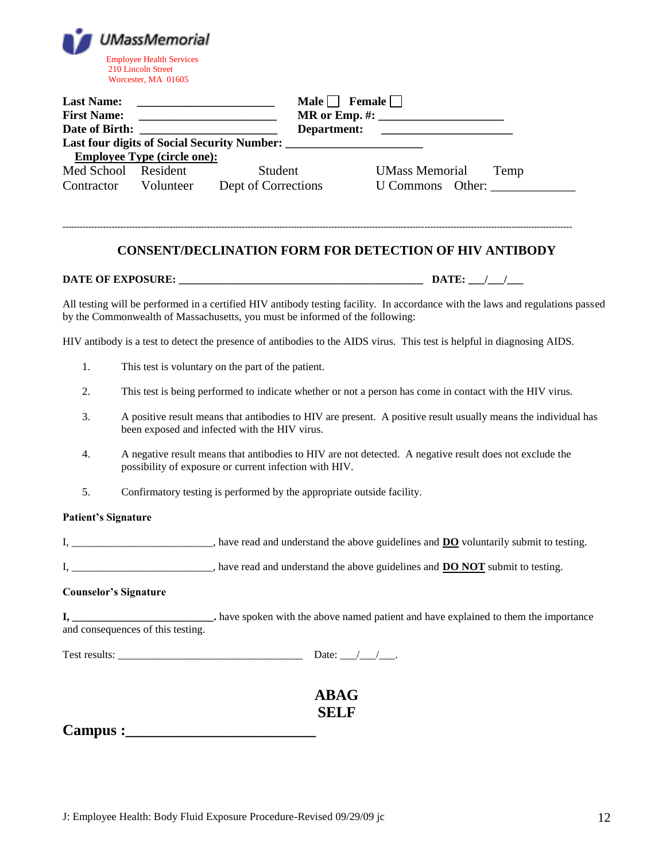|                                         | <b>UMassMemorial</b><br><b>Employee Health Services</b><br>210 Lincoln Street<br>Worcester, MA 01605 |                                                                              |                                                                                                                                                  |
|-----------------------------------------|------------------------------------------------------------------------------------------------------|------------------------------------------------------------------------------|--------------------------------------------------------------------------------------------------------------------------------------------------|
| <b>Last Name:</b><br><b>First Name:</b> | <b>Employee Type (circle one):</b>                                                                   |                                                                              | Male $\Box$ Female $\Box$                                                                                                                        |
|                                         | Med School Resident                                                                                  | Student                                                                      | <b>UMass Memorial</b> Temp<br>Contractor Volunteer Dept of Corrections U Commons Other:                                                          |
|                                         |                                                                                                      |                                                                              | <b>CONSENT/DECLINATION FORM FOR DETECTION OF HIV ANTIBODY</b>                                                                                    |
|                                         |                                                                                                      |                                                                              |                                                                                                                                                  |
|                                         |                                                                                                      | by the Commonwealth of Massachusetts, you must be informed of the following: | All testing will be performed in a certified HIV antibody testing facility. In accordance with the laws and regulations passed                   |
|                                         |                                                                                                      |                                                                              | HIV antibody is a test to detect the presence of antibodies to the AIDS virus. This test is helpful in diagnosing AIDS.                          |
| 1.                                      |                                                                                                      | This test is voluntary on the part of the patient.                           |                                                                                                                                                  |
| 2.                                      |                                                                                                      |                                                                              | This test is being performed to indicate whether or not a person has come in contact with the HIV virus.                                         |
| 3.                                      |                                                                                                      | been exposed and infected with the HIV virus.                                | A positive result means that antibodies to HIV are present. A positive result usually means the individual has                                   |
| 4.                                      |                                                                                                      | possibility of exposure or current infection with HIV.                       | A negative result means that antibodies to HIV are not detected. A negative result does not exclude the                                          |
| 5.                                      |                                                                                                      | Confirmatory testing is performed by the appropriate outside facility.       |                                                                                                                                                  |
| <b>Patient's Signature</b>              |                                                                                                      |                                                                              |                                                                                                                                                  |
|                                         |                                                                                                      |                                                                              | I, _________________________, have read and understand the above guidelines and <b>DO</b> voluntarily submit to testing.                         |
|                                         |                                                                                                      |                                                                              | I, __________________________, have read and understand the above guidelines and <b>DO NOT</b> submit to testing.                                |
|                                         | <b>Counselor's Signature</b>                                                                         |                                                                              |                                                                                                                                                  |
|                                         |                                                                                                      |                                                                              | I, _______________________. have spoken with the above named patient and have explained to them the importance and consequences of this testing. |
|                                         |                                                                                                      |                                                                              | Date: $\_\_\_\_\_\_\_\_\_\$ .                                                                                                                    |
|                                         |                                                                                                      | <b>ABAG</b>                                                                  |                                                                                                                                                  |
|                                         |                                                                                                      |                                                                              |                                                                                                                                                  |

**Campus :\_\_\_\_\_\_\_\_\_\_\_\_\_\_\_\_\_\_\_\_\_\_\_\_\_**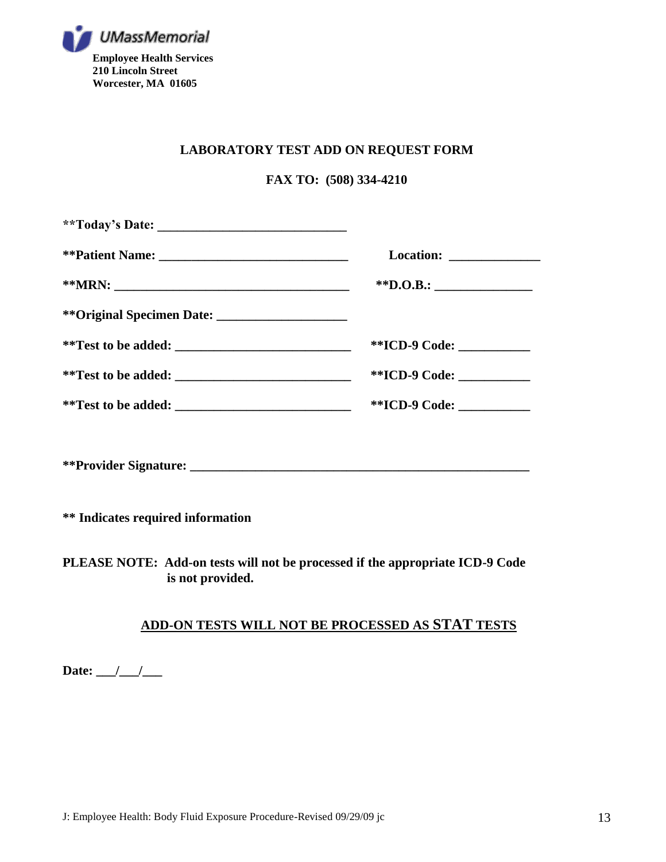

#### **LABORATORY TEST ADD ON REQUEST FORM**

#### **FAX TO: (508) 334-4210**

| **ICD-9 Code: ____________ |
|----------------------------|
| **ICD-9 Code: ___________  |
| **ICD-9 Code: ____________ |
|                            |
|                            |

**\*\* Indicates required information**

**PLEASE NOTE: Add-on tests will not be processed if the appropriate ICD-9 Code is not provided.**

### **ADD-ON TESTS WILL NOT BE PROCESSED AS STAT TESTS**

Date: \_\_\_/\_\_\_/\_\_\_\_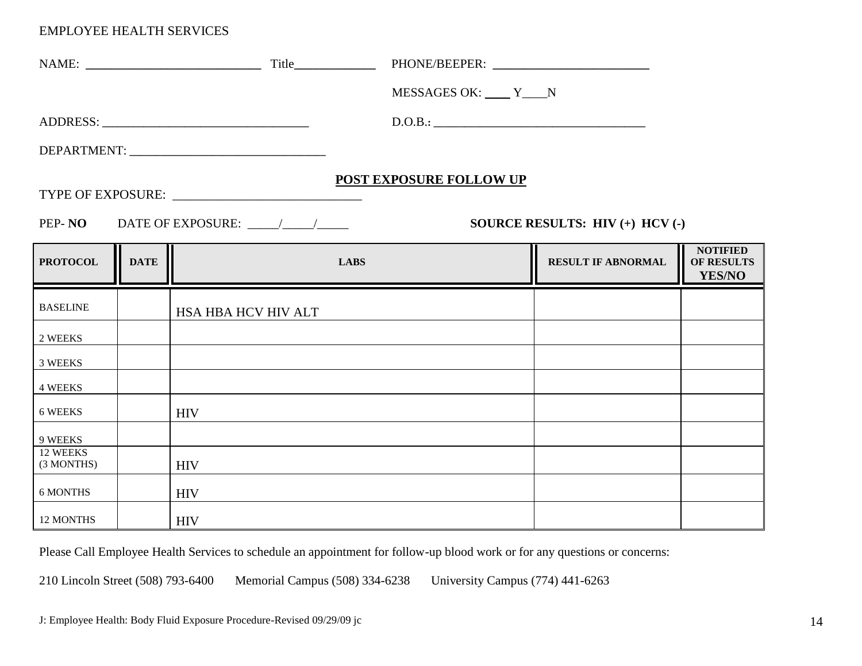|                        |             |                                                                                                                                                                                                                               |             | MESSAGES OK: V____ Y____N      |                                   |                                         |
|------------------------|-------------|-------------------------------------------------------------------------------------------------------------------------------------------------------------------------------------------------------------------------------|-------------|--------------------------------|-----------------------------------|-----------------------------------------|
|                        |             |                                                                                                                                                                                                                               |             | D.O.B.:                        |                                   |                                         |
|                        |             | DEPARTMENT: University of the contract of the contract of the contract of the contract of the contract of the contract of the contract of the contract of the contract of the contract of the contract of the contract of the |             |                                |                                   |                                         |
|                        |             |                                                                                                                                                                                                                               |             | <b>POST EXPOSURE FOLLOW UP</b> |                                   |                                         |
| PEP-NO                 |             |                                                                                                                                                                                                                               |             |                                | SOURCE RESULTS: $HIV (+) HCV (-)$ |                                         |
| <b>PROTOCOL</b>        | <b>DATE</b> |                                                                                                                                                                                                                               | <b>LABS</b> |                                | <b>RESULT IF ABNORMAL</b>         | <b>NOTIFIED</b><br>OF RESULTS<br>YES/NO |
| <b>BASELINE</b>        |             | HSA HBA HCV HIV ALT                                                                                                                                                                                                           |             |                                |                                   |                                         |
| 2 WEEKS                |             |                                                                                                                                                                                                                               |             |                                |                                   |                                         |
| 3 WEEKS                |             |                                                                                                                                                                                                                               |             |                                |                                   |                                         |
| <b>4 WEEKS</b>         |             |                                                                                                                                                                                                                               |             |                                |                                   |                                         |
| 6 WEEKS                |             | <b>HIV</b>                                                                                                                                                                                                                    |             |                                |                                   |                                         |
| 9 WEEKS                |             |                                                                                                                                                                                                                               |             |                                |                                   |                                         |
| 12 WEEKS<br>(3 MONTHS) |             | <b>HIV</b>                                                                                                                                                                                                                    |             |                                |                                   |                                         |
| 6 MONTHS               |             | <b>HIV</b>                                                                                                                                                                                                                    |             |                                |                                   |                                         |
| 12 MONTHS              |             | <b>HIV</b>                                                                                                                                                                                                                    |             |                                |                                   |                                         |

Please Call Employee Health Services to schedule an appointment for follow-up blood work or for any questions or concerns: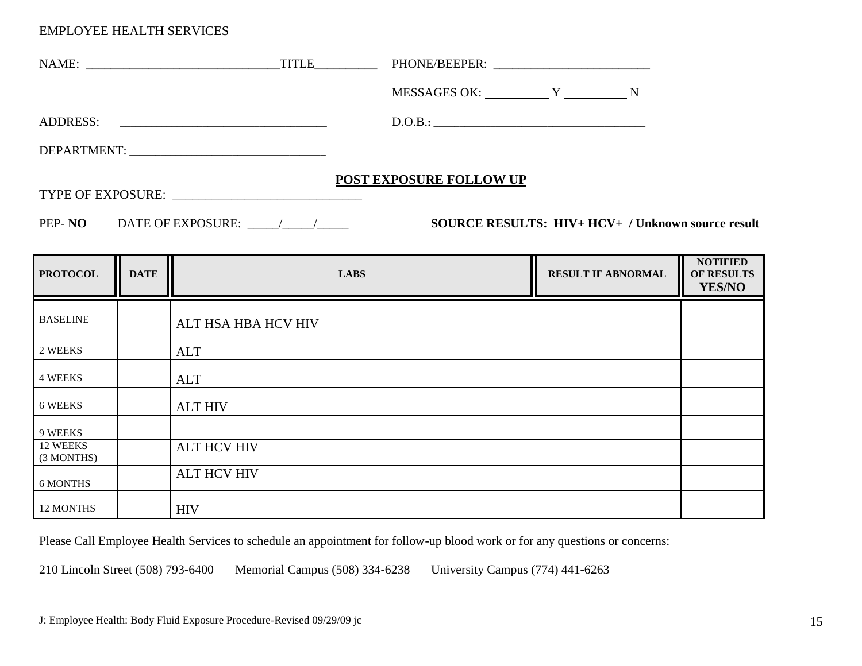| NAME: TITLE                  |                         |                                                   |                    |
|------------------------------|-------------------------|---------------------------------------------------|--------------------|
|                              |                         |                                                   |                    |
| ADDRESS:                     | D.O.B.:                 |                                                   |                    |
|                              |                         |                                                   |                    |
|                              | POST EXPOSURE FOLLOW UP |                                                   |                    |
| PEP-NO DATE OF EXPOSURE: / / |                         | SOURCE RESULTS: HIV+ HCV+ / Unknown source result |                    |
|                              |                         |                                                   | <b>II</b> NOTIFIED |

| <b>PROTOCOL</b>        | <b>DATE</b> | <b>LABS</b>         | <b>RESULT IF ABNORMAL</b> | <b>NOTIFIED</b><br>OF RESULTS<br>YES/NO |
|------------------------|-------------|---------------------|---------------------------|-----------------------------------------|
| <b>BASELINE</b>        |             | ALT HSA HBA HCV HIV |                           |                                         |
| 2 WEEKS                |             | <b>ALT</b>          |                           |                                         |
| <b>4 WEEKS</b>         |             | <b>ALT</b>          |                           |                                         |
| 6 WEEKS                |             | <b>ALT HIV</b>      |                           |                                         |
| 9 WEEKS                |             |                     |                           |                                         |
| 12 WEEKS<br>(3 MONTHS) |             | <b>ALT HCV HIV</b>  |                           |                                         |
| 6 MONTHS               |             | <b>ALT HCV HIV</b>  |                           |                                         |
| 12 MONTHS              |             | <b>HIV</b>          |                           |                                         |

Please Call Employee Health Services to schedule an appointment for follow-up blood work or for any questions or concerns: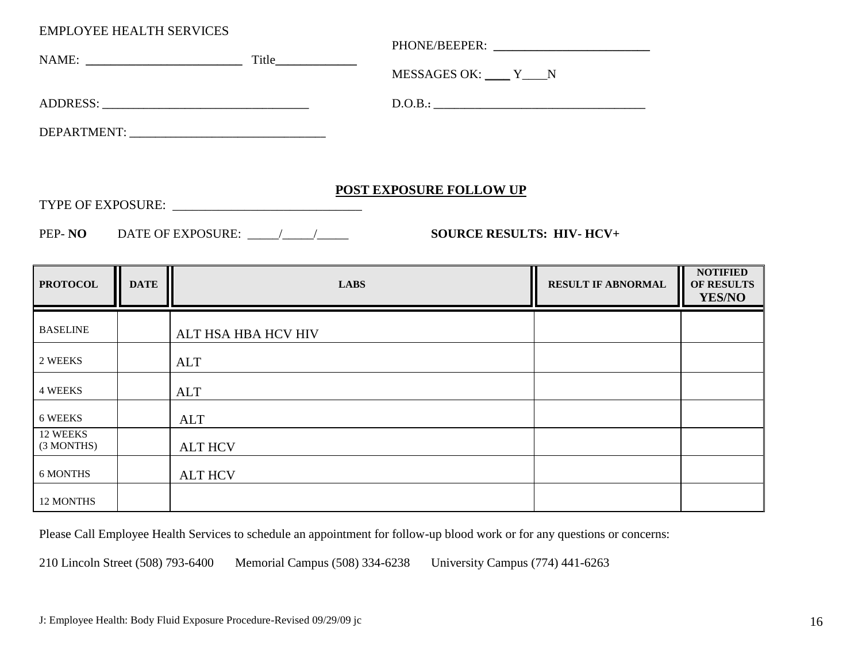|                        |             |                                                                                                                                                                                                                               |             | MESSAGES OK: V____ Y____N      |                           |                      |
|------------------------|-------------|-------------------------------------------------------------------------------------------------------------------------------------------------------------------------------------------------------------------------------|-------------|--------------------------------|---------------------------|----------------------|
|                        |             |                                                                                                                                                                                                                               |             | D.O.B.:                        |                           |                      |
|                        |             | DEPARTMENT: University of the contract of the contract of the contract of the contract of the contract of the contract of the contract of the contract of the contract of the contract of the contract of the contract of the |             |                                |                           |                      |
|                        |             |                                                                                                                                                                                                                               |             |                                |                           |                      |
|                        |             |                                                                                                                                                                                                                               |             | <b>POST EXPOSURE FOLLOW UP</b> |                           |                      |
|                        |             |                                                                                                                                                                                                                               |             |                                |                           |                      |
|                        |             |                                                                                                                                                                                                                               |             |                                |                           |                      |
|                        |             |                                                                                                                                                                                                                               |             |                                |                           | <b>NOTIFIED</b>      |
| <b>PROTOCOL</b>        | <b>DATE</b> |                                                                                                                                                                                                                               | <b>LABS</b> |                                | <b>RESULT IF ABNORMAL</b> | OF RESULTS<br>YES/NO |
| <b>BASELINE</b>        |             | ALT HSA HBA HCV HIV                                                                                                                                                                                                           |             |                                |                           |                      |
| 2 WEEKS                |             | ALT                                                                                                                                                                                                                           |             |                                |                           |                      |
| <b>4 WEEKS</b>         |             | <b>ALT</b>                                                                                                                                                                                                                    |             |                                |                           |                      |
| 6 WEEKS                |             | <b>ALT</b>                                                                                                                                                                                                                    |             |                                |                           |                      |
| 12 WEEKS<br>(3 MONTHS) |             | <b>ALT HCV</b>                                                                                                                                                                                                                |             |                                |                           |                      |

Please Call Employee Health Services to schedule an appointment for follow-up blood work or for any questions or concerns:

210 Lincoln Street (508) 793-6400 Memorial Campus (508) 334-6238 University Campus (774) 441-6263

12 MONTHS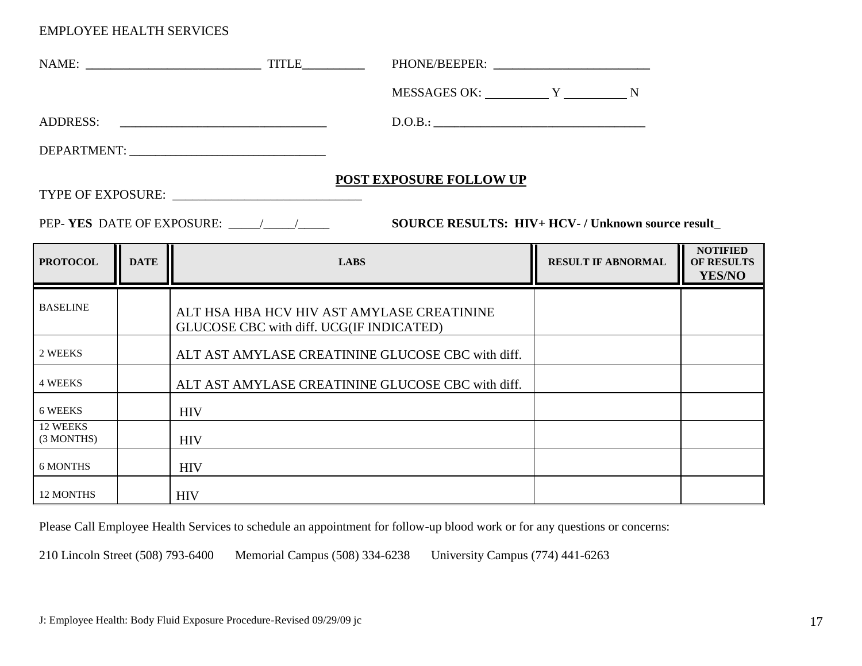|                        |             | D.O.B.:                                                                                |                                                  |                                                |
|------------------------|-------------|----------------------------------------------------------------------------------------|--------------------------------------------------|------------------------------------------------|
|                        |             |                                                                                        |                                                  |                                                |
|                        |             | <b>POST EXPOSURE FOLLOW UP</b><br>PEP-YES DATE OF EXPOSURE: \[\state \]                | SOURCE RESULTS: HIV+ HCV-/ Unknown source result |                                                |
| <b>PROTOCOL</b>        | <b>DATE</b> | <b>LABS</b>                                                                            | <b>RESULT IF ABNORMAL</b>                        | <b>NOTIFIED</b><br><b>OF RESULTS</b><br>YES/NO |
| <b>BASELINE</b>        |             | ALT HSA HBA HCV HIV AST AMYLASE CREATININE<br>GLUCOSE CBC with diff. UCG(IF INDICATED) |                                                  |                                                |
| 2 WEEKS                |             | ALT AST AMYLASE CREATININE GLUCOSE CBC with diff.                                      |                                                  |                                                |
| <b>4 WEEKS</b>         |             | ALT AST AMYLASE CREATININE GLUCOSE CBC with diff.                                      |                                                  |                                                |
| 6 WEEKS                |             | <b>HIV</b>                                                                             |                                                  |                                                |
| 12 WEEKS<br>(3 MONTHS) |             | <b>HIV</b>                                                                             |                                                  |                                                |
| <b>6 MONTHS</b>        |             | <b>HIV</b>                                                                             |                                                  |                                                |
| 12 MONTHS              |             | <b>HIV</b>                                                                             |                                                  |                                                |

Please Call Employee Health Services to schedule an appointment for follow-up blood work or for any questions or concerns: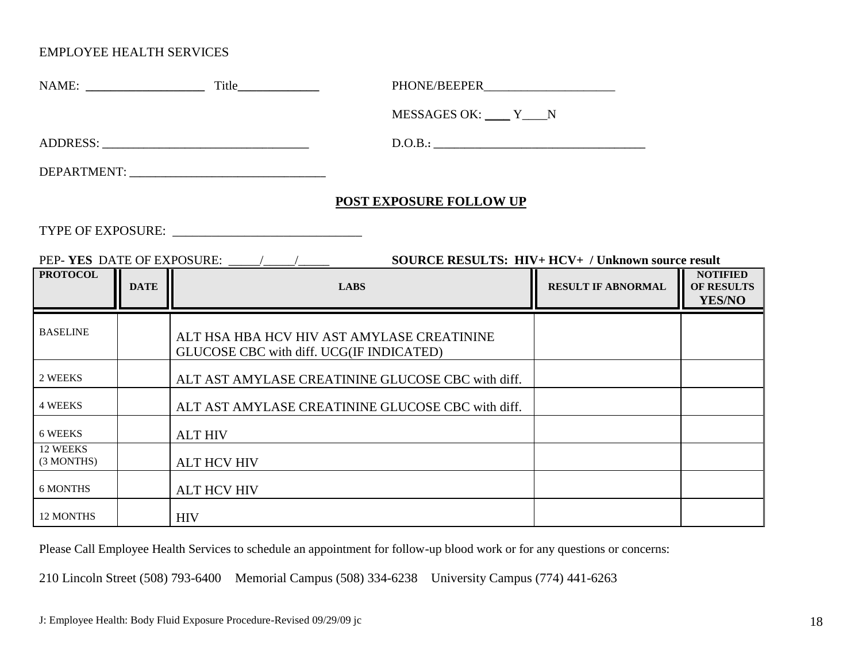|                        |             | MESSAGES OK: Y N                                                                       |                                                   |                                                |
|------------------------|-------------|----------------------------------------------------------------------------------------|---------------------------------------------------|------------------------------------------------|
|                        |             | D.O.B.:                                                                                |                                                   |                                                |
|                        |             |                                                                                        |                                                   |                                                |
|                        |             | POST EXPOSURE FOLLOW UP                                                                |                                                   |                                                |
|                        |             |                                                                                        |                                                   |                                                |
|                        |             |                                                                                        | SOURCE RESULTS: HIV+ HCV+ / Unknown source result |                                                |
| <b>PROTOCOL</b>        | <b>DATE</b> | <b>LABS</b>                                                                            | <b>RESULT IF ABNORMAL</b>                         | <b>NOTIFIED</b><br><b>OF RESULTS</b><br>YES/NO |
| <b>BASELINE</b>        |             | ALT HSA HBA HCV HIV AST AMYLASE CREATININE<br>GLUCOSE CBC with diff. UCG(IF INDICATED) |                                                   |                                                |
| 2 WEEKS                |             | ALT AST AMYLASE CREATININE GLUCOSE CBC with diff.                                      |                                                   |                                                |
| <b>4 WEEKS</b>         |             | ALT AST AMYLASE CREATININE GLUCOSE CBC with diff.                                      |                                                   |                                                |
| 6 WEEKS                |             | <b>ALT HIV</b>                                                                         |                                                   |                                                |
| 12 WEEKS<br>(3 MONTHS) |             | <b>ALT HCV HIV</b>                                                                     |                                                   |                                                |
| <b>6 MONTHS</b>        |             | <b>ALT HCV HIV</b>                                                                     |                                                   |                                                |
| 12 MONTHS              |             | <b>HIV</b>                                                                             |                                                   |                                                |

Please Call Employee Health Services to schedule an appointment for follow-up blood work or for any questions or concerns: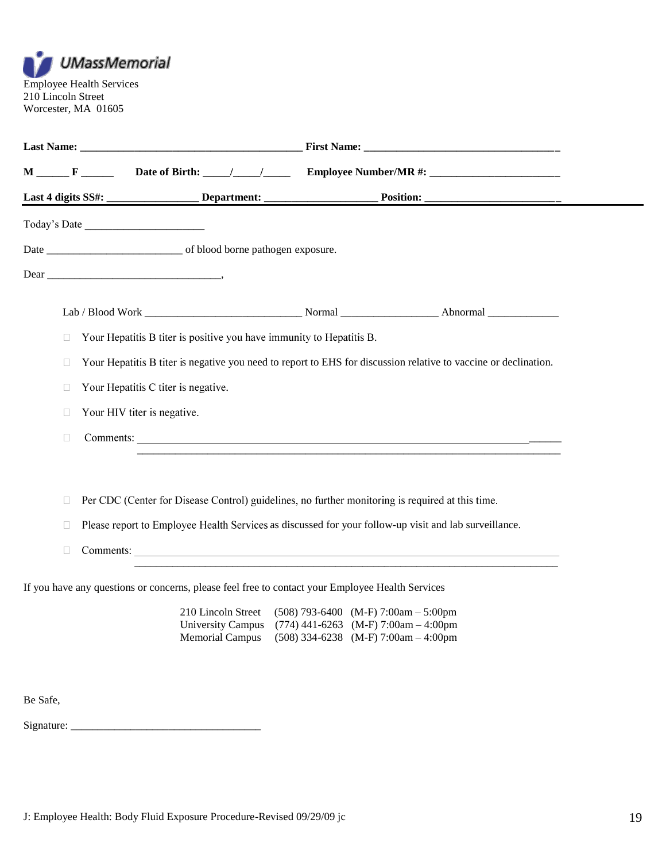

|          |                                                                                                        |                                                                                  | M _____F _________ Date of Birth: ____/____/ _________ Employee Number/MR #: _______________________            |  |
|----------|--------------------------------------------------------------------------------------------------------|----------------------------------------------------------------------------------|-----------------------------------------------------------------------------------------------------------------|--|
|          |                                                                                                        |                                                                                  |                                                                                                                 |  |
|          | Today's Date                                                                                           |                                                                                  |                                                                                                                 |  |
|          |                                                                                                        |                                                                                  |                                                                                                                 |  |
|          |                                                                                                        |                                                                                  |                                                                                                                 |  |
|          |                                                                                                        |                                                                                  |                                                                                                                 |  |
| $\Box$   | Your Hepatitis B titer is positive you have immunity to Hepatitis B.                                   |                                                                                  |                                                                                                                 |  |
| $\Box$   |                                                                                                        |                                                                                  | Your Hepatitis B titer is negative you need to report to EHS for discussion relative to vaccine or declination. |  |
| $\Box$   | Your Hepatitis C titer is negative.                                                                    |                                                                                  |                                                                                                                 |  |
| $\Box$   | Your HIV titer is negative.                                                                            |                                                                                  |                                                                                                                 |  |
| $\Box$   |                                                                                                        |                                                                                  |                                                                                                                 |  |
|          |                                                                                                        |                                                                                  |                                                                                                                 |  |
|          | Per CDC (Center for Disease Control) guidelines, no further monitoring is required at this time.       |                                                                                  |                                                                                                                 |  |
| $\Box$   |                                                                                                        |                                                                                  |                                                                                                                 |  |
| $\Box$   | Please report to Employee Health Services as discussed for your follow-up visit and lab surveillance.  |                                                                                  |                                                                                                                 |  |
| $\Box$   |                                                                                                        |                                                                                  |                                                                                                                 |  |
|          | If you have any questions or concerns, please feel free to contact your Employee Health Services       |                                                                                  |                                                                                                                 |  |
|          | 210 Lincoln Street (508) 793-6400 (M-F) 7:00am - 5:00pm<br>University Campus<br><b>Memorial Campus</b> | $(774)$ 441-6263 (M-F) 7:00am – 4:00pm<br>$(508)$ 334-6238 (M-F) 7:00am - 4:00pm |                                                                                                                 |  |
|          |                                                                                                        |                                                                                  |                                                                                                                 |  |
| Be Safe, |                                                                                                        |                                                                                  |                                                                                                                 |  |
|          |                                                                                                        |                                                                                  |                                                                                                                 |  |
|          |                                                                                                        |                                                                                  |                                                                                                                 |  |